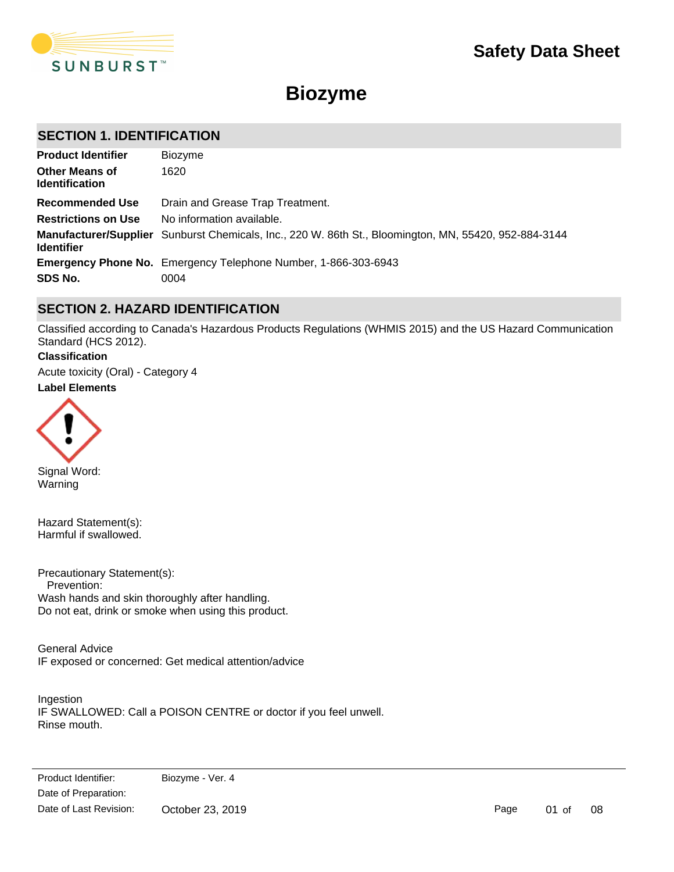

# **Biozyme**

# **SECTION 1. IDENTIFICATION**

| <b>Product Identifier</b>                      | <b>Biozyme</b>                                                                                        |
|------------------------------------------------|-------------------------------------------------------------------------------------------------------|
| <b>Other Means of</b><br><b>Identification</b> | 1620                                                                                                  |
| Recommended Use                                | Drain and Grease Trap Treatment.                                                                      |
| <b>Restrictions on Use</b>                     | No information available.                                                                             |
| <b>Identifier</b>                              | Manufacturer/Supplier Sunburst Chemicals, Inc., 220 W. 86th St., Bloomington, MN, 55420, 952-884-3144 |
|                                                | <b>Emergency Phone No.</b> Emergency Telephone Number, 1-866-303-6943                                 |
| SDS No.                                        | 0004                                                                                                  |

# **SECTION 2. HAZARD IDENTIFICATION**

Classified according to Canada's Hazardous Products Regulations (WHMIS 2015) and the US Hazard Communication Standard (HCS 2012).

## **Classification**

Acute toxicity (Oral) - Category 4

# **Label Elements**



Signal Word: Warning

Hazard Statement(s): Harmful if swallowed.

Precautionary Statement(s): Prevention: Wash hands and skin thoroughly after handling. Do not eat, drink or smoke when using this product.

General Advice IF exposed or concerned: Get medical attention/advice

Ingestion IF SWALLOWED: Call a POISON CENTRE or doctor if you feel unwell. Rinse mouth.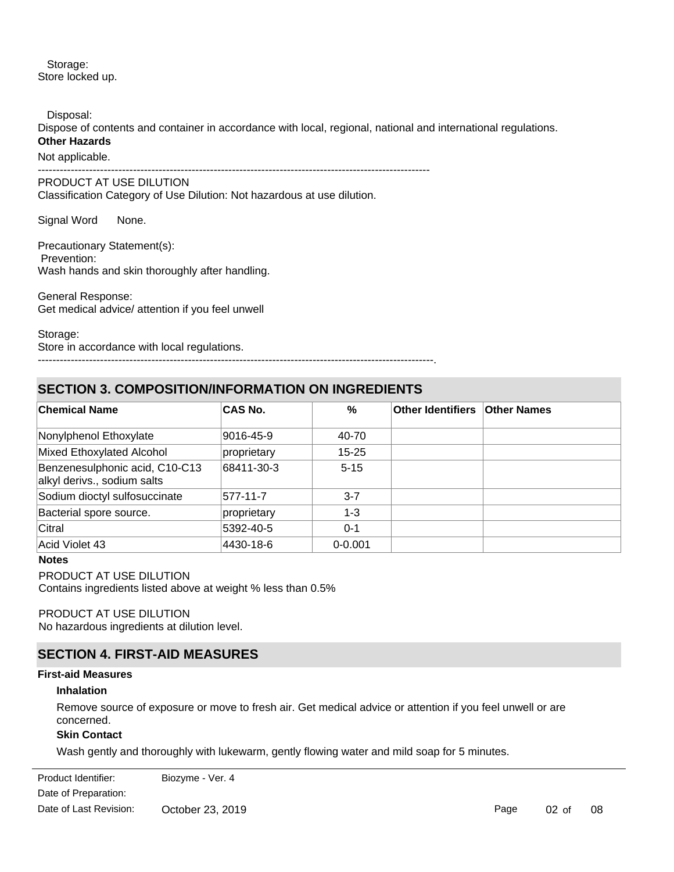Storage: Store locked up.

Disposal:

Dispose of contents and container in accordance with local, regional, national and international regulations. **Other Hazards**

Not applicable.

-----------------------------------------------------------------------------------------------------------

PRODUCT AT USE DILUTION Classification Category of Use Dilution: Not hazardous at use dilution.

Signal Word None.

Precautionary Statement(s): Prevention: Wash hands and skin thoroughly after handling.

General Response: Get medical advice/ attention if you feel unwell

Storage: Store in accordance with local regulations.

------------------------------------------------------------------------------------------------------------.

# **SECTION 3. COMPOSITION/INFORMATION ON INGREDIENTS**

| <b>Chemical Name</b>                                          | <b>CAS No.</b> | %           | <b>Other Identifiers Other Names</b> |  |
|---------------------------------------------------------------|----------------|-------------|--------------------------------------|--|
| Nonylphenol Ethoxylate                                        | 9016-45-9      | 40-70       |                                      |  |
| Mixed Ethoxylated Alcohol                                     | proprietary    | $15 - 25$   |                                      |  |
| Benzenesulphonic acid, C10-C13<br>alkyl derivs., sodium salts | 68411-30-3     | $5 - 15$    |                                      |  |
| Sodium dioctyl sulfosuccinate                                 | 577-11-7       | $3 - 7$     |                                      |  |
| Bacterial spore source.                                       | proprietary    | $1 - 3$     |                                      |  |
| Citral                                                        | 5392-40-5      | $0 - 1$     |                                      |  |
| Acid Violet 43                                                | 4430-18-6      | $0 - 0.001$ |                                      |  |

### **Notes**

# PRODUCT AT USE DILUTION

Contains ingredients listed above at weight % less than 0.5%

# PRODUCT AT USE DILUTION

No hazardous ingredients at dilution level.

# **SECTION 4. FIRST-AID MEASURES**

#### **First-aid Measures**

#### **Inhalation**

Remove source of exposure or move to fresh air. Get medical advice or attention if you feel unwell or are concerned.

### **Skin Contact**

**Eye Contact Contact Contact Contact Contact Contact Contact Contact Contact Contact Contact Contact Contact Co** 

Wash gently and thoroughly with lukewarm, gently flowing water and mild soap for 5 minutes.

Date of Preparation: Product Identifier: Biozyme - Ver. 4 Date of Last Revision: October 23, 2019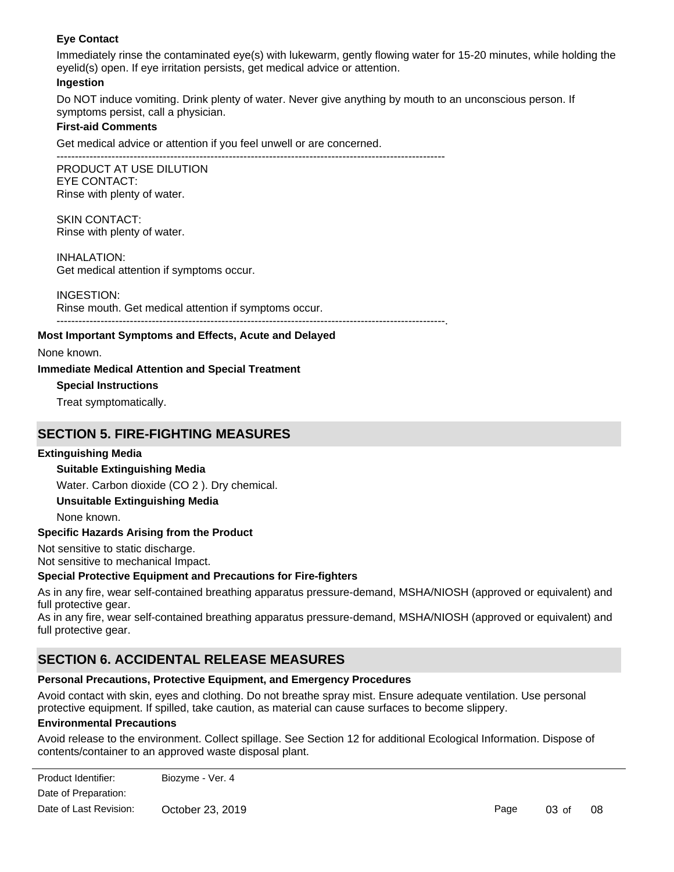# **Eye Contact**

Immediately rinse the contaminated eye(s) with lukewarm, gently flowing water for 15-20 minutes, while holding the eyelid(s) open. If eye irritation persists, get medical advice or attention.

#### **Ingestion**

Do NOT induce vomiting. Drink plenty of water. Never give anything by mouth to an unconscious person. If symptoms persist, call a physician.

# **First-aid Comments**

Get medical advice or attention if you feel unwell or are concerned.

---------------------------------------------------------------------------------------------------------- PRODUCT AT USE DILUTION EYE CONTACT: Rinse with plenty of water.

SKIN CONTACT: Rinse with plenty of water.

INHALATION: Get medical attention if symptoms occur.

#### INGESTION:

Rinse mouth. Get medical attention if symptoms occur. ----------------------------------------------------------------------------------------------------------.

# **Most Important Symptoms and Effects, Acute and Delayed**

None known.

# **Immediate Medical Attention and Special Treatment**

**Special Instructions**

Treat symptomatically.

# **SECTION 5. FIRE-FIGHTING MEASURES**

# **Extinguishing Media**

# **Suitable Extinguishing Media**

Water. Carbon dioxide (CO 2 ). Dry chemical.

# **Unsuitable Extinguishing Media**

None known.

#### **Specific Hazards Arising from the Product**

Not sensitive to static discharge.

Not sensitive to mechanical Impact.

#### **Special Protective Equipment and Precautions for Fire-fighters**

As in any fire, wear self-contained breathing apparatus pressure-demand, MSHA/NIOSH (approved or equivalent) and full protective gear.

As in any fire, wear self-contained breathing apparatus pressure-demand, MSHA/NIOSH (approved or equivalent) and full protective gear.

# **SECTION 6. ACCIDENTAL RELEASE MEASURES**

**Methods and Materials for Containment and Cleaning Up**

#### **Personal Precautions, Protective Equipment, and Emergency Procedures**

Avoid contact with skin, eyes and clothing. Do not breathe spray mist. Ensure adequate ventilation. Use personal protective equipment. If spilled, take caution, as material can cause surfaces to become slippery.

#### **Environmental Precautions**

Avoid release to the environment. Collect spillage. See Section 12 for additional Ecological Information. Dispose of contents/container to an approved waste disposal plant.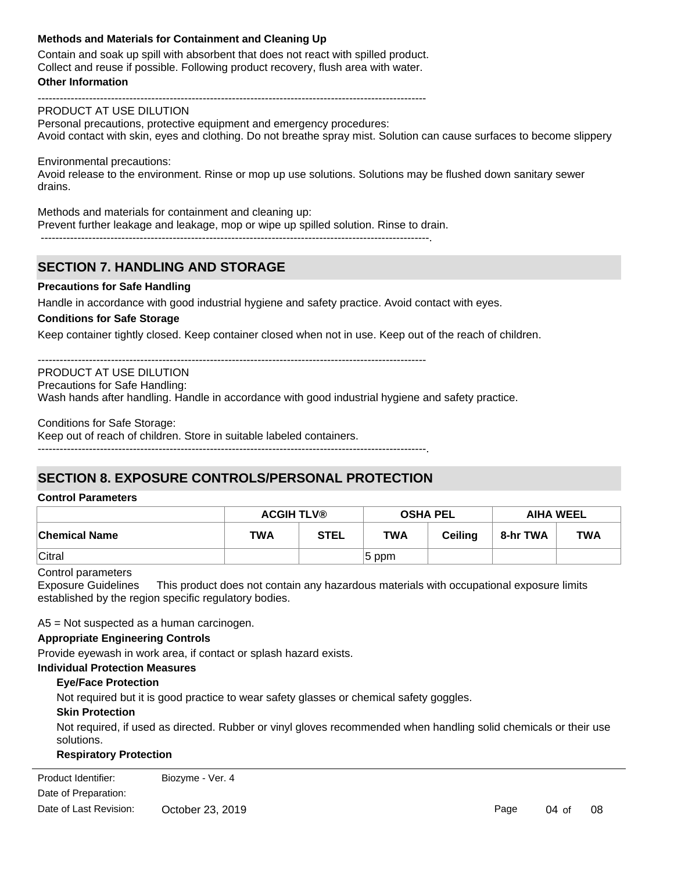# **Methods and Materials for Containment and Cleaning Up**

Contain and soak up spill with absorbent that does not react with spilled product. Collect and reuse if possible. Following product recovery, flush area with water.

----------------------------------------------------------------------------------------------------------

#### **Other Information**

PRODUCT AT USE DILUTION Personal precautions, protective equipment and emergency procedures: Avoid contact with skin, eyes and clothing. Do not breathe spray mist. Solution can cause surfaces to become slippery

Environmental precautions: Avoid release to the environment. Rinse or mop up use solutions. Solutions may be flushed down sanitary sewer drains.

Methods and materials for containment and cleaning up: Prevent further leakage and leakage, mop or wipe up spilled solution. Rinse to drain. ----------------------------------------------------------------------------------------------------------.

# **SECTION 7. HANDLING AND STORAGE**

#### **Precautions for Safe Handling**

Handle in accordance with good industrial hygiene and safety practice. Avoid contact with eyes.

# **Conditions for Safe Storage**

Keep container tightly closed. Keep container closed when not in use. Keep out of the reach of children.

----------------------------------------------------------------------------------------------------------

PRODUCT AT USE DILUTION

Precautions for Safe Handling:

Wash hands after handling. Handle in accordance with good industrial hygiene and safety practice.

Conditions for Safe Storage:

Keep out of reach of children. Store in suitable labeled containers.

----------------------------------------------------------------------------------------------------------.

# **SECTION 8. EXPOSURE CONTROLS/PERSONAL PROTECTION**

#### **Control Parameters**

|                      | <b>ACGIH TLV®</b> |             | <b>OSHA PEL</b> |                | <b>AIHA WEEL</b> |            |
|----------------------|-------------------|-------------|-----------------|----------------|------------------|------------|
| <b>Chemical Name</b> | TWA               | <b>STEL</b> | <b>TWA</b>      | <b>Ceiling</b> | 8-hr TWA         | <b>TWA</b> |
| Citral               |                   |             | $ 5$ ppm        |                |                  |            |

Control parameters

Exposure Guidelines This product does not contain any hazardous materials with occupational exposure limits established by the region specific regulatory bodies.

A5 = Not suspected as a human carcinogen.

#### **Appropriate Engineering Controls**

Provide eyewash in work area, if contact or splash hazard exists.

# **Individual Protection Measures**

#### **Eye/Face Protection**

Not required but it is good practice to wear safety glasses or chemical safety goggles.

#### **Skin Protection**

Not required, if used as directed. Rubber or vinyl gloves recommended when handling solid chemicals or their use solutions.

#### **Respiratory Protection**

Not normally required if product is used as directed. If exposure limits are exceeded or irritation is experienced, Product Identifier: Biozyme - Ver. 4 Date of Preparation: Date of Last Revision: October 23, 2019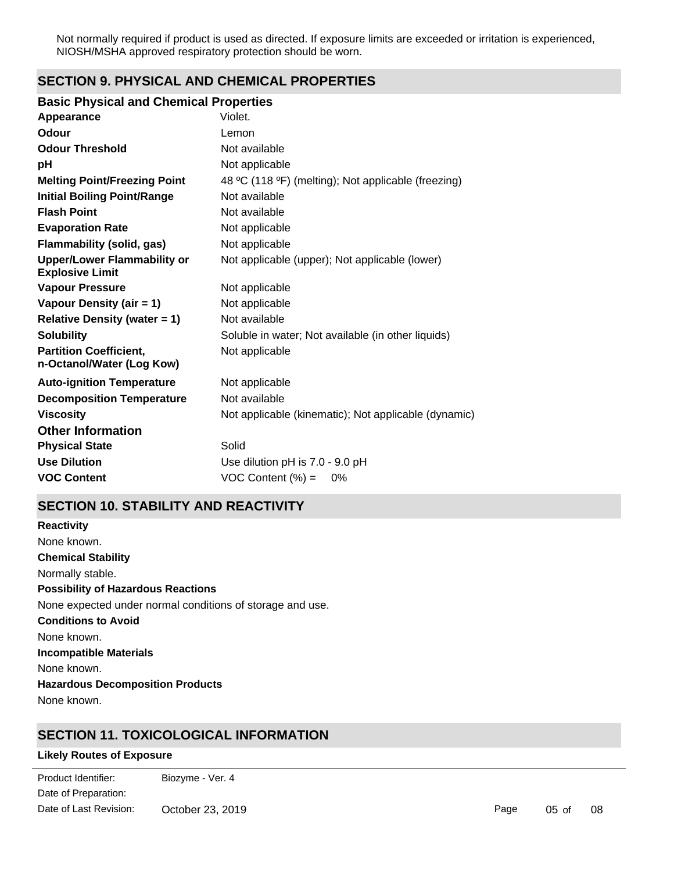Not normally required if product is used as directed. If exposure limits are exceeded or irritation is experienced, NIOSH/MSHA approved respiratory protection should be worn.

# **SECTION 9. PHYSICAL AND CHEMICAL PROPERTIES**

### **Basic Physical and Chemical Properties**

| Appearance                                                   | Violet.                                              |
|--------------------------------------------------------------|------------------------------------------------------|
| Odour                                                        | Lemon                                                |
| <b>Odour Threshold</b>                                       | Not available                                        |
| рH                                                           | Not applicable                                       |
| <b>Melting Point/Freezing Point</b>                          | 48 °C (118 °F) (melting); Not applicable (freezing)  |
| <b>Initial Boiling Point/Range</b>                           | Not available                                        |
| <b>Flash Point</b>                                           | Not available                                        |
| <b>Evaporation Rate</b>                                      | Not applicable                                       |
| <b>Flammability (solid, gas)</b>                             | Not applicable                                       |
| <b>Upper/Lower Flammability or</b><br><b>Explosive Limit</b> | Not applicable (upper); Not applicable (lower)       |
| <b>Vapour Pressure</b>                                       | Not applicable                                       |
| Vapour Density (air = 1)                                     | Not applicable                                       |
| <b>Relative Density (water = 1)</b>                          | Not available                                        |
| <b>Solubility</b>                                            | Soluble in water; Not available (in other liquids)   |
| <b>Partition Coefficient,</b><br>n-Octanol/Water (Log Kow)   | Not applicable                                       |
| <b>Auto-ignition Temperature</b>                             | Not applicable                                       |
| <b>Decomposition Temperature</b>                             | Not available                                        |
| <b>Viscosity</b>                                             | Not applicable (kinematic); Not applicable (dynamic) |
| <b>Other Information</b>                                     |                                                      |
| <b>Physical State</b>                                        | Solid                                                |
| <b>Use Dilution</b>                                          | Use dilution pH is 7.0 - 9.0 pH                      |
| <b>VOC Content</b>                                           | $VOC$ Content $(\%) =$<br>$0\%$                      |

# **SECTION 10. STABILITY AND REACTIVITY**

**Chemical Stability** Normally stable. **Conditions to Avoid** None known. **Incompatible Materials** None known. **Hazardous Decomposition Products** None known. **Possibility of Hazardous Reactions** None expected under normal conditions of storage and use. **Reactivity** None known.

# **SECTION 11. TOXICOLOGICAL INFORMATION**

# **Likely Routes of Exposure**

externalise contact versus product Identifier: biozyme - Ver. 4 Date of Preparation: Date of Last Revision: October 23, 2019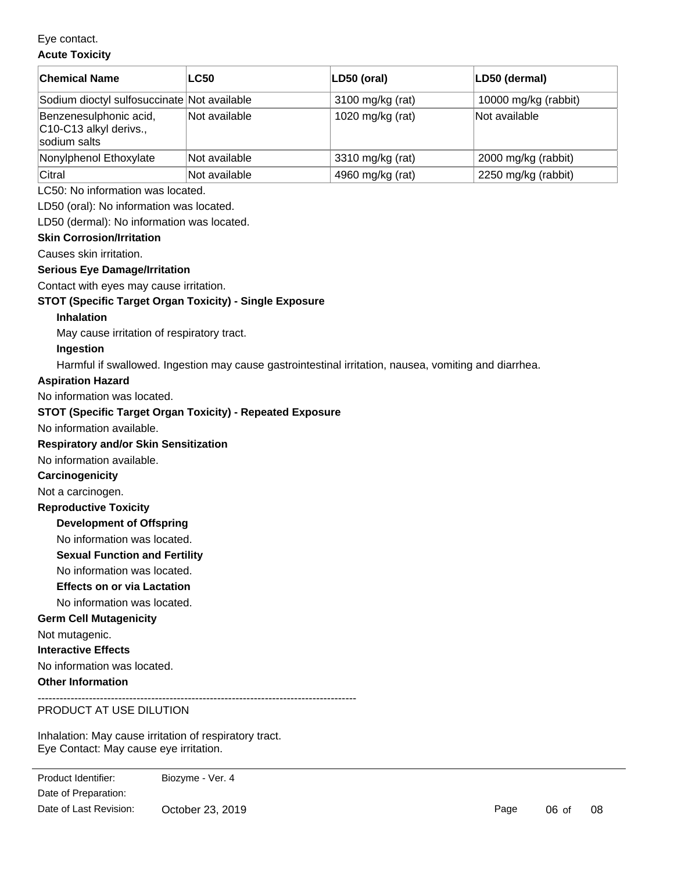Eye contact.

# **Acute Toxicity**

| <b>Chemical Name</b>                                             | <b>LC50</b>   | LD50 (oral)      | LD50 (dermal)        |
|------------------------------------------------------------------|---------------|------------------|----------------------|
| Sodium dioctyl sulfosuccinate Not available                      |               | 3100 mg/kg (rat) | 10000 mg/kg (rabbit) |
| Benzenesulphonic acid,<br>C10-C13 alkyl derivs.,<br>sodium salts | Not available | 1020 mg/kg (rat) | Not available        |
| Nonylphenol Ethoxylate                                           | Not available | 3310 mg/kg (rat) | 2000 mg/kg (rabbit)  |
| Citral                                                           | Not available | 4960 mg/kg (rat) | 2250 mg/kg (rabbit)  |

# LC50: No information was located.

LD50 (oral): No information was located.

LD50 (dermal): No information was located.

#### **Skin Corrosion/Irritation**

Causes skin irritation.

# **Serious Eye Damage/Irritation**

Contact with eyes may cause irritation.

# **STOT (Specific Target Organ Toxicity) - Single Exposure**

#### **Inhalation**

May cause irritation of respiratory tract.

#### **Ingestion**

Harmful if swallowed. Ingestion may cause gastrointestinal irritation, nausea, vomiting and diarrhea.

#### **Aspiration Hazard**

No information was located.

### **STOT (Specific Target Organ Toxicity) - Repeated Exposure**

No information available.

# **Respiratory and/or Skin Sensitization**

No information available.

#### **Carcinogenicity**

Not a carcinogen.

## **Reproductive Toxicity**

**Development of Offspring**

# No information was located.

**Sexual Function and Fertility**

No information was located.

# **Effects on or via Lactation**

No information was located.

# **Germ Cell Mutagenicity**

Not mutagenic.

**Interactive Effects**

No information was located.

# **Other Information**

---------------------------------------------------------------------------------------

# PRODUCT AT USE DILUTION

Inhalation: May cause irritation of respiratory tract. Eye Contact: May cause eye irritation.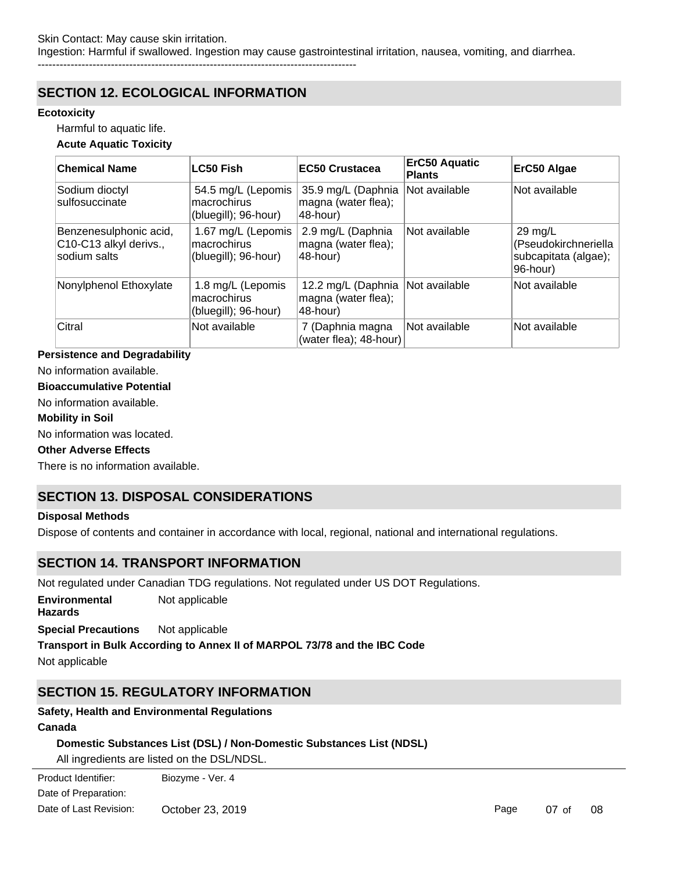# **SECTION 12. ECOLOGICAL INFORMATION**

### **Ecotoxicity**

Harmful to aquatic life.

### **Acute Aquatic Toxicity**

| <b>Chemical Name</b>                                             | <b>LC50 Fish</b>                                          | <b>EC50 Crustacea</b>                                    | ErC50 Aquatic<br><b>Plants</b> | ErC50 Algae                                                                   |
|------------------------------------------------------------------|-----------------------------------------------------------|----------------------------------------------------------|--------------------------------|-------------------------------------------------------------------------------|
| Sodium dioctyl<br>sulfosuccinate                                 | 54.5 mg/L (Lepomis<br>macrochirus<br>(bluegill); 96-hour) | 35.9 mg/L (Daphnia<br>magna (water flea);<br>48-hour)    | Not available                  | Not available                                                                 |
| Benzenesulphonic acid,<br>C10-C13 alkyl derivs.,<br>sodium salts | 1.67 mg/L (Lepomis<br>macrochirus<br>(bluegill); 96-hour) | 2.9 mg/L (Daphnia<br>magna (water flea);<br>48-hour)     | Not available                  | $29 \text{ mg/L}$<br>(Pseudokirchneriella<br>subcapitata (algae);<br>96-hour) |
| Nonylphenol Ethoxylate                                           | 1.8 mg/L (Lepomis<br>macrochirus<br>(bluegill); 96-hour)  | 12.2 mg/L (Daphnia<br>magna (water flea);<br>$48$ -hour) | Not available                  | Not available                                                                 |
| Citral                                                           | Not available                                             | 7 (Daphnia magna<br>(water flea); 48-hour)               | Not available                  | Not available                                                                 |

# **Persistence and Degradability**

No information available.

### **Bioaccumulative Potential**

No information available.

#### **Mobility in Soil**

No information was located.

### **Other Adverse Effects**

There is no information available.

# **SECTION 13. DISPOSAL CONSIDERATIONS**

#### **Disposal Methods**

Dispose of contents and container in accordance with local, regional, national and international regulations.

# **SECTION 14. TRANSPORT INFORMATION**

Not regulated under Canadian TDG regulations. Not regulated under US DOT Regulations.

**Environmental Hazards** Not applicable

**Special Precautions** Not applicable

# **Transport in Bulk According to Annex II of MARPOL 73/78 and the IBC Code**

Not applicable

# **SECTION 15. REGULATORY INFORMATION**

## **Safety, Health and Environmental Regulations**

# **Canada**

# **Domestic Substances List (DSL) / Non-Domestic Substances List (NDSL)**

All ingredients are listed on the DSL/NDSL.

Date of Preparation: Product Identifier: Biozyme - Ver. 4 Date of Last Revision: October 23, 2019